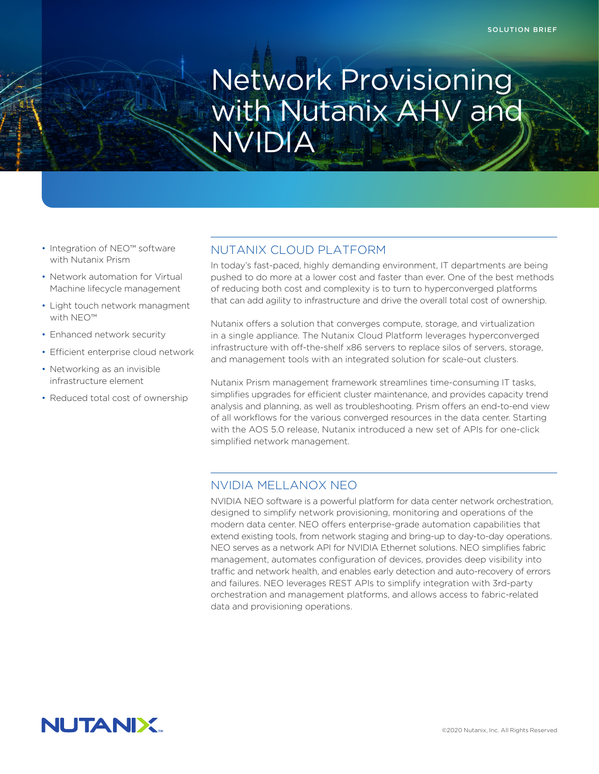# Network Provisioning with Nutanix AHV and NVIDIA

- Integration of NEO™ software with Nutanix Prism
- Network automation for Virtual Machine lifecycle management
- Light touch network managment with NEO™
- Enhanced network security
- Efficient enterprise cloud network
- Networking as an invisible infrastructure element
- Reduced total cost of ownership

## NUTANIX CLOUD PLATFORM

In today's fast-paced, highly demanding environment, IT departments are being pushed to do more at a lower cost and faster than ever. One of the best methods of reducing both cost and complexity is to turn to hyperconverged platforms that can add agility to infrastructure and drive the overall total cost of ownership.

Nutanix offers a solution that converges compute, storage, and virtualization in a single appliance. The Nutanix Cloud Platform leverages hyperconverged infrastructure with off-the-shelf x86 servers to replace silos of servers, storage, and management tools with an integrated solution for scale-out clusters.

Nutanix Prism management framework streamlines time-consuming IT tasks, simplifies upgrades for efficient cluster maintenance, and provides capacity trend analysis and planning, as well as troubleshooting. Prism offers an end-to-end view of all workflows for the various converged resources in the data center. Starting with the AOS 5.0 release, Nutanix introduced a new set of APIs for one-click simplified network management.

### NVIDIA MELLANOX NEO

NVIDIA NEO software is a powerful platform for data center network orchestration, designed to simplify network provisioning, monitoring and operations of the modern data center. NEO offers enterprise-grade automation capabilities that extend existing tools, from network staging and bring-up to day-to-day operations. NEO serves as a network API for NVIDIA Ethernet solutions. NEO simplifies fabric management, automates configuration of devices, provides deep visibility into traffic and network health, and enables early detection and auto-recovery of errors and failures. NEO leverages REST APIs to simplify integration with 3rd-party orchestration and management platforms, and allows access to fabric-related data and provisioning operations.

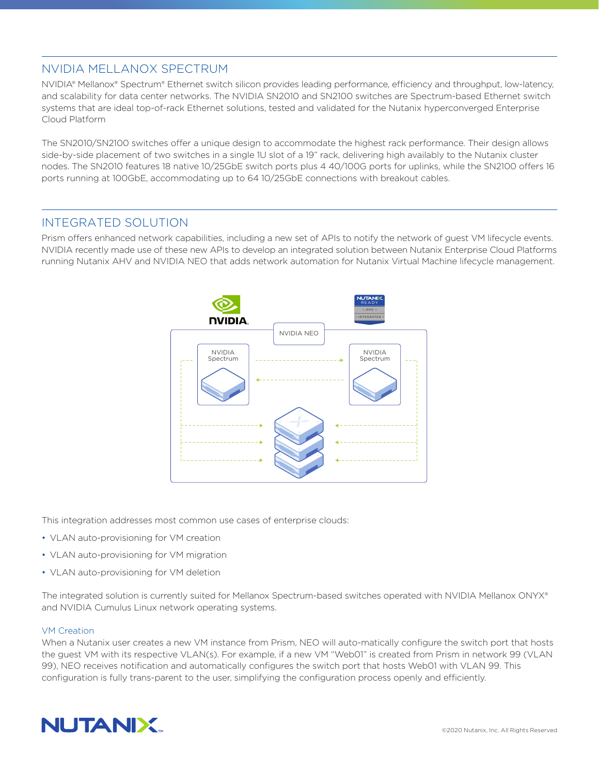# NVIDIA MELLANOX SPECTRUM

NVIDIA® Mellanox® Spectrum® Ethernet switch silicon provides leading performance, efficiency and throughput, low-latency, and scalability for data center networks. The NVIDIA SN2010 and SN2100 switches are Spectrum-based Ethernet switch systems that are ideal top-of-rack Ethernet solutions, tested and validated for the Nutanix hyperconverged Enterprise Cloud Platform

The SN2010/SN2100 switches offer a unique design to accommodate the highest rack performance. Their design allows side-by-side placement of two switches in a single 1U slot of a 19" rack, delivering high availably to the Nutanix cluster nodes. The SN2010 features 18 native 10/25GbE switch ports plus 4 40/100G ports for uplinks, while the SN2100 offers 16 ports running at 100GbE, accommodating up to 64 10/25GbE connections with breakout cables.

# INTEGRATED SOLUTION

Prism offers enhanced network capabilities, including a new set of APIs to notify the network of guest VM lifecycle events. NVIDIA recently made use of these new APIs to develop an integrated solution between Nutanix Enterprise Cloud Platforms running Nutanix AHV and NVIDIA NEO that adds network automation for Nutanix Virtual Machine lifecycle management.



This integration addresses most common use cases of enterprise clouds:

- VLAN auto-provisioning for VM creation
- VLAN auto-provisioning for VM migration
- VLAN auto-provisioning for VM deletion

The integrated solution is currently suited for Mellanox Spectrum-based switches operated with NVIDIA Mellanox ONYX® and NVIDIA Cumulus Linux network operating systems.

#### VM Creation

When a Nutanix user creates a new VM instance from Prism, NEO will auto-matically configure the switch port that hosts the guest VM with its respective VLAN(s). For example, if a new VM "Web01" is created from Prism in network 99 (VLAN 99), NEO receives notification and automatically configures the switch port that hosts Web01 with VLAN 99. This configuration is fully trans-parent to the user, simplifying the configuration process openly and efficiently.